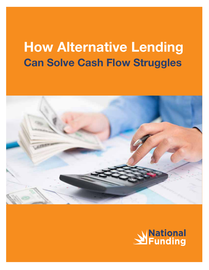## How Alternative Lending Can Solve Cash Flow Struggles



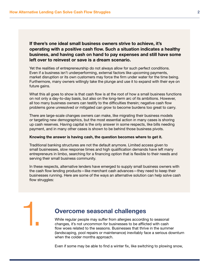1.

If there's one ideal small business owners strive to achieve, it's operating with a positive cash flow. Such a situation indicates a healthy business, and having cash on hand to pay expenses and still have some left over to reinvest or save is a dream scenario.

Yet the realities of entrepreneurship do not always allow for such perfect conditions. Even if a business isn't underperforming, external factors like upcoming payments, market disruption or its own customers may force the firm under water for the time being. Furthermore, many owners willingly take the plunge and use it to expand with their eye on future gains.

What this all goes to show is that cash flow is at the root of how a small business functions on not only a day-to-day basis, but also on the long-term arc of its ambitions. However, all too many business owners can testify to the difficulties therein; negative cash flow problems gone unresolved or mitigated can grow to become burdens too great to carry.

There are large-scale changes owners can make, like migrating their business models or targeting new demographics, but the most essential action in many cases is shoring up cash reserves. Having capital is the only answer in some respects, like bills needing payment, and in many other cases is shown to be behind those business pivots.

#### Knowing the answer is having cash, the question becomes where to get it.

Traditional banking structures are not the default anymore. Limited access given to small businesses, slow response times and high qualification demands have left many entrepreneurs in limbo, searching for a financing option that is flexible to their needs and serving their small business community.

In these respects, alternative lenders have emerged to supply small business owners with the cash flow lending products—like merchant cash advances—they need to keep their businesses running. Here are some of the ways an alternative solution can help solve cash flow struggles:

#### Overcome seasonal challenges

While regular people may suffer from allergies according to seasonal changes, it's not uncommon for businesses to be afflicted with cash flow woes related to the seasons. Businesses that thrive in the summer (landscaping, pool repairs or maintenance) inevitably face a serious downturn when the colder months approach.

Even if some may be able to find a winter fix, like switching to plowing snow,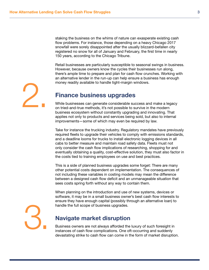staking the business on the whims of nature can exasperate existing cash flow problems. For instance, those depending on a heavy Chicago 2017 snowfall were sorely disappointed after the usually blizzard-befallen city registered no snow for all of January and February, the first time in nearly 150 years, according to the Chicago Tribune.

Retail businesses are particularly susceptible to seasonal swings in business. However, because owners know the cycles their businesses run along, there's ample time to prepare and plan for cash flow crunches. Working with an alternative lender in the run-up can help ensure a business has enough money readily available to handle tight-margin windows.

# 2.

#### Finance business upgrades

While businesses can generate considerable success and make a legacy on tried-and-true methods, it's not possible to survive in the modern business ecosystem without constantly upgrading and innovating. That applies not only to products and services being sold, but also to internal improvements—some of which may even be required by law.

Take for instance the trucking industry. Regulatory mandates have previously required fleets to upgrade their vehicles to comply with emissions standards, and a deadline looms for trucks to install electronic logging devices in all cabs to better measure and maintain road safety data. Fleets must not only consider the cash flow implications of researching, shopping for and eventually obtaining a quality, cost-effective solution, they must also factor in the costs tied to training employees on use and best practices.

This is a side of planned business upgrades some forget: There are many other potential costs dependent on implementation. The consequences of not including these variables in costing models may mean the difference between a designed cash flow deficit and an unmanageable situation that sees costs spring forth without any way to contain them.

When planning on the introduction and use of new systems, devices or software, it may be in a small business owner's best cash flow interests to ensure they have enough capital (possibly through an alternative loan) to handle the full scope of business upgrades.

3.

#### Navigate market disruption

Business owners are not always afforded the luxury of such foresight in instances of cash flow complications. One oft-occurring and suddenly devastating strike to cash flow can come in the form of market disruption.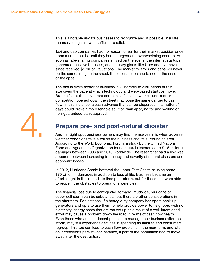This is a notable risk for businesses to recognize and, if possible, insulate themselves against with sufficient capital.

Taxi and cab companies had no reason to fear for their market position once upon a time, that is, until they had an urgent and overwhelming need to. As soon as ride-sharing companies arrived on the scene, the internet startups generated massive business, and industry giants like Uber and Lyft have since received \$1 billion valuations. The market for taxis and cabs will never be the same. Imagine the shock those businesses sustained at the onset of the apps.

The fact is every sector of business is vulnerable to disruptions of this size given the pace at which technology and web-based startups move. But that's not the only threat companies face—new brick-and-mortar competition opened down the street may pose the same danger to cash flow. In this instance, a cash advance that can be dispersed in a matter of days could prove a more tenable solution than applying for and waiting on non-guaranteed bank approval.



### Prepare pre- and post-natural disaster

Another tight spot business owners may find themselves in is when adverse weather conditions take a toll on the business and its surrounding area. According to the World Economic Forum, a study by the United Nations Food and Agriculture Organization found natural disaster led to \$1.5 trillion in damages between 2003 and 2013 worldwide. The researcher said a link was apparent between increasing frequency and severity of natural disasters and economic losses.

In 2012, Hurricane Sandy battered the upper East Coast, causing some \$70 billion in damages in addition to loss of life. Business became an afterthought in the immediate time post-storm, but for those that were able to reopen, the obstacles to operations were clear.

The financial loss due to earthquake, tornado, mudslide, hurricane or super-cell storm can be substantial, but there are other considerations in the aftermath. For instance, if a heavy-duty company has spare back-up generators and opts to use them to help provide power to neighbors with no electricity, energy costs that are racked up as a result of a well-intentioned effort may cause a problem down the road in terms of cash flow health. Even those who are in a decent position to manage their business after the storm, may still experience declines in spending as families and consumers regroup. This too can lead to cash flow problems in the near term, and later on if conditions persist—for instance, if part of the population had to move away after the destruction.